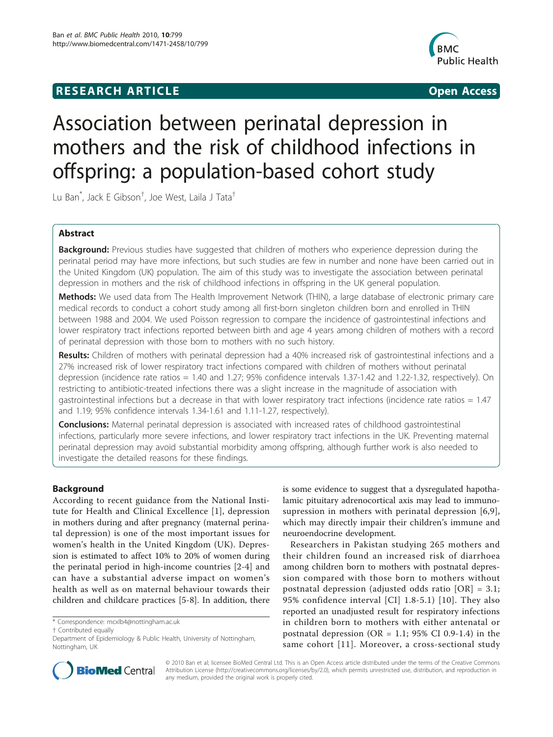## **RESEARCH ARTICLE Example 2014 CONSUMING ACCESS**



# Association between perinatal depression in mothers and the risk of childhood infections in offspring: a population-based cohort study

Lu Ban<sup>\*</sup>, Jack E Gibson<sup>†</sup>, Joe West, Laila J Tata<sup>†</sup>

## Abstract

**Background:** Previous studies have suggested that children of mothers who experience depression during the perinatal period may have more infections, but such studies are few in number and none have been carried out in the United Kingdom (UK) population. The aim of this study was to investigate the association between perinatal depression in mothers and the risk of childhood infections in offspring in the UK general population.

Methods: We used data from The Health Improvement Network (THIN), a large database of electronic primary care medical records to conduct a cohort study among all first-born singleton children born and enrolled in THIN between 1988 and 2004. We used Poisson regression to compare the incidence of gastrointestinal infections and lower respiratory tract infections reported between birth and age 4 years among children of mothers with a record of perinatal depression with those born to mothers with no such history.

Results: Children of mothers with perinatal depression had a 40% increased risk of gastrointestinal infections and a 27% increased risk of lower respiratory tract infections compared with children of mothers without perinatal depression (incidence rate ratios = 1.40 and 1.27; 95% confidence intervals 1.37-1.42 and 1.22-1.32, respectively). On restricting to antibiotic-treated infections there was a slight increase in the magnitude of association with gastrointestinal infections but a decrease in that with lower respiratory tract infections (incidence rate ratios = 1.47 and 1.19; 95% confidence intervals 1.34-1.61 and 1.11-1.27, respectively).

**Conclusions:** Maternal perinatal depression is associated with increased rates of childhood gastrointestinal infections, particularly more severe infections, and lower respiratory tract infections in the UK. Preventing maternal perinatal depression may avoid substantial morbidity among offspring, although further work is also needed to investigate the detailed reasons for these findings.

## Background

According to recent guidance from the National Institute for Health and Clinical Excellence [[1](#page-6-0)], depression in mothers during and after pregnancy (maternal perinatal depression) is one of the most important issues for women's health in the United Kingdom (UK). Depression is estimated to affect 10% to 20% of women during the perinatal period in high-income countries [\[2](#page-6-0)-[4\]](#page-7-0) and can have a substantial adverse impact on women's health as well as on maternal behaviour towards their children and childcare practices [[5-8](#page-7-0)]. In addition, there

† Contributed equally

is some evidence to suggest that a dysregulated hapothalamic pituitary adrenocortical axis may lead to immunosupression in mothers with perinatal depression [\[6,9](#page-7-0)], which may directly impair their children's immune and neuroendocrine development.

Researchers in Pakistan studying 265 mothers and their children found an increased risk of diarrhoea among children born to mothers with postnatal depression compared with those born to mothers without postnatal depression (adjusted odds ratio [OR] = 3.1; 95% confidence interval [CI] 1.8-5.1) [[10](#page-7-0)]. They also reported an unadjusted result for respiratory infections in children born to mothers with either antenatal or postnatal depression (OR = 1.1; 95% CI 0.9-1.4) in the same cohort [[11\]](#page-7-0). Moreover, a cross-sectional study



© 2010 Ban et al; licensee BioMed Central Ltd. This is an Open Access article distributed under the terms of the Creative Commons Attribution License [\(http://creativecommons.org/licenses/by/2.0](http://creativecommons.org/licenses/by/2.0)), which permits unrestricted use, distribution, and reproduction in any medium, provided the original work is properly cited.

<sup>\*</sup> Correspondence: [mcxlb4@nottingham.ac.uk](mailto:mcxlb4@nottingham.ac.uk)

Department of Epidemiology & Public Health, University of Nottingham, Nottingham, UK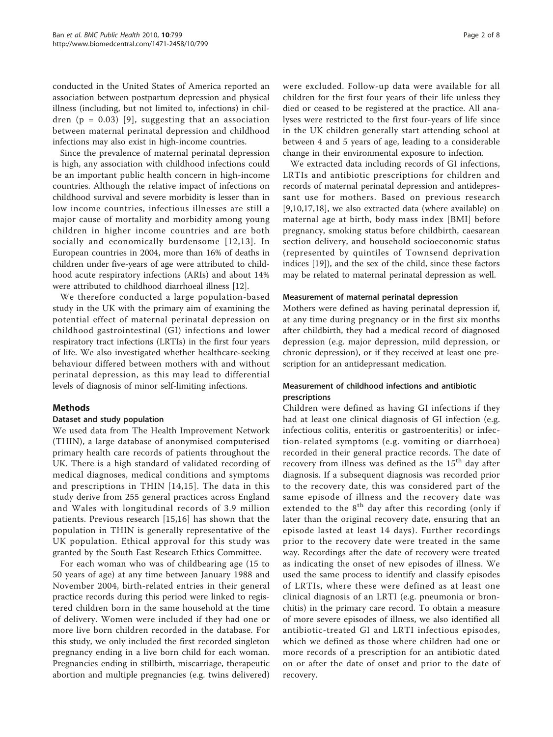conducted in the United States of America reported an association between postpartum depression and physical illness (including, but not limited to, infections) in children ( $p = 0.03$ ) [[9\]](#page-7-0), suggesting that an association between maternal perinatal depression and childhood infections may also exist in high-income countries.

Since the prevalence of maternal perinatal depression is high, any association with childhood infections could be an important public health concern in high-income countries. Although the relative impact of infections on childhood survival and severe morbidity is lesser than in low income countries, infectious illnesses are still a major cause of mortality and morbidity among young children in higher income countries and are both socially and economically burdensome [[12](#page-7-0),[13\]](#page-7-0). In European countries in 2004, more than 16% of deaths in children under five-years of age were attributed to childhood acute respiratory infections (ARIs) and about 14% were attributed to childhood diarrhoeal illness [\[12](#page-7-0)].

We therefore conducted a large population-based study in the UK with the primary aim of examining the potential effect of maternal perinatal depression on childhood gastrointestinal (GI) infections and lower respiratory tract infections (LRTIs) in the first four years of life. We also investigated whether healthcare-seeking behaviour differed between mothers with and without perinatal depression, as this may lead to differential levels of diagnosis of minor self-limiting infections.

## Methods

## Dataset and study population

We used data from The Health Improvement Network (THIN), a large database of anonymised computerised primary health care records of patients throughout the UK. There is a high standard of validated recording of medical diagnoses, medical conditions and symptoms and prescriptions in THIN [[14](#page-7-0),[15\]](#page-7-0). The data in this study derive from 255 general practices across England and Wales with longitudinal records of 3.9 million patients. Previous research [[15,16](#page-7-0)] has shown that the population in THIN is generally representative of the UK population. Ethical approval for this study was granted by the South East Research Ethics Committee.

For each woman who was of childbearing age (15 to 50 years of age) at any time between January 1988 and November 2004, birth-related entries in their general practice records during this period were linked to registered children born in the same household at the time of delivery. Women were included if they had one or more live born children recorded in the database. For this study, we only included the first recorded singleton pregnancy ending in a live born child for each woman. Pregnancies ending in stillbirth, miscarriage, therapeutic abortion and multiple pregnancies (e.g. twins delivered) were excluded. Follow-up data were available for all children for the first four years of their life unless they died or ceased to be registered at the practice. All analyses were restricted to the first four-years of life since in the UK children generally start attending school at between 4 and 5 years of age, leading to a considerable change in their environmental exposure to infection.

We extracted data including records of GI infections, LRTIs and antibiotic prescriptions for children and records of maternal perinatal depression and antidepressant use for mothers. Based on previous research [[9,10,17,18](#page-7-0)], we also extracted data (where available) on maternal age at birth, body mass index [BMI] before pregnancy, smoking status before childbirth, caesarean section delivery, and household socioeconomic status (represented by quintiles of Townsend deprivation indices [\[19](#page-7-0)]), and the sex of the child, since these factors may be related to maternal perinatal depression as well.

#### Measurement of maternal perinatal depression

Mothers were defined as having perinatal depression if, at any time during pregnancy or in the first six months after childbirth, they had a medical record of diagnosed depression (e.g. major depression, mild depression, or chronic depression), or if they received at least one prescription for an antidepressant medication.

## Measurement of childhood infections and antibiotic prescriptions

Children were defined as having GI infections if they had at least one clinical diagnosis of GI infection (e.g. infectious colitis, enteritis or gastroenteritis) or infection-related symptoms (e.g. vomiting or diarrhoea) recorded in their general practice records. The date of recovery from illness was defined as the 15<sup>th</sup> day after diagnosis. If a subsequent diagnosis was recorded prior to the recovery date, this was considered part of the same episode of illness and the recovery date was extended to the  $8<sup>th</sup>$  day after this recording (only if later than the original recovery date, ensuring that an episode lasted at least 14 days). Further recordings prior to the recovery date were treated in the same way. Recordings after the date of recovery were treated as indicating the onset of new episodes of illness. We used the same process to identify and classify episodes of LRTIs, where these were defined as at least one clinical diagnosis of an LRTI (e.g. pneumonia or bronchitis) in the primary care record. To obtain a measure of more severe episodes of illness, we also identified all antibiotic-treated GI and LRTI infectious episodes, which we defined as those where children had one or more records of a prescription for an antibiotic dated on or after the date of onset and prior to the date of recovery.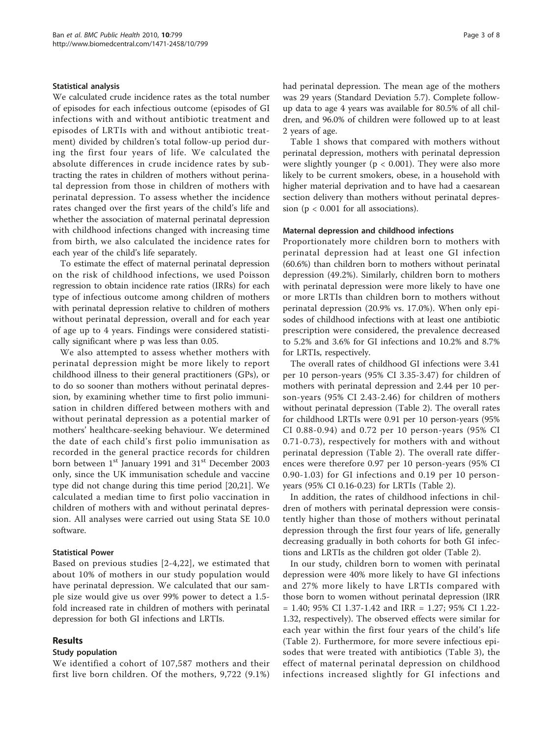#### Statistical analysis

We calculated crude incidence rates as the total number of episodes for each infectious outcome (episodes of GI infections with and without antibiotic treatment and episodes of LRTIs with and without antibiotic treatment) divided by children's total follow-up period during the first four years of life. We calculated the absolute differences in crude incidence rates by subtracting the rates in children of mothers without perinatal depression from those in children of mothers with perinatal depression. To assess whether the incidence rates changed over the first years of the child's life and whether the association of maternal perinatal depression with childhood infections changed with increasing time from birth, we also calculated the incidence rates for each year of the child's life separately.

To estimate the effect of maternal perinatal depression on the risk of childhood infections, we used Poisson regression to obtain incidence rate ratios (IRRs) for each type of infectious outcome among children of mothers with perinatal depression relative to children of mothers without perinatal depression, overall and for each year of age up to 4 years. Findings were considered statistically significant where p was less than 0.05.

We also attempted to assess whether mothers with perinatal depression might be more likely to report childhood illness to their general practitioners (GPs), or to do so sooner than mothers without perinatal depression, by examining whether time to first polio immunisation in children differed between mothers with and without perinatal depression as a potential marker of mothers' healthcare-seeking behaviour. We determined the date of each child's first polio immunisation as recorded in the general practice records for children born between  $1<sup>st</sup>$  January 1991 and  $31<sup>st</sup>$  December 2003 only, since the UK immunisation schedule and vaccine type did not change during this time period [[20,21\]](#page-7-0). We calculated a median time to first polio vaccination in children of mothers with and without perinatal depression. All analyses were carried out using Stata SE 10.0 software.

## Statistical Power

Based on previous studies [[2](#page-6-0)-[4](#page-7-0),[22\]](#page-7-0), we estimated that about 10% of mothers in our study population would have perinatal depression. We calculated that our sample size would give us over 99% power to detect a 1.5 fold increased rate in children of mothers with perinatal depression for both GI infections and LRTIs.

#### Results

#### Study population

We identified a cohort of 107,587 mothers and their first live born children. Of the mothers, 9,722 (9.1%) had perinatal depression. The mean age of the mothers was 29 years (Standard Deviation 5.7). Complete followup data to age 4 years was available for 80.5% of all children, and 96.0% of children were followed up to at least 2 years of age.

Table [1](#page-3-0) shows that compared with mothers without perinatal depression, mothers with perinatal depression were slightly younger ( $p < 0.001$ ). They were also more likely to be current smokers, obese, in a household with higher material deprivation and to have had a caesarean section delivery than mothers without perinatal depression ( $p < 0.001$  for all associations).

#### Maternal depression and childhood infections

Proportionately more children born to mothers with perinatal depression had at least one GI infection (60.6%) than children born to mothers without perinatal depression (49.2%). Similarly, children born to mothers with perinatal depression were more likely to have one or more LRTIs than children born to mothers without perinatal depression (20.9% vs. 17.0%). When only episodes of childhood infections with at least one antibiotic prescription were considered, the prevalence decreased to 5.2% and 3.6% for GI infections and 10.2% and 8.7% for LRTIs, respectively.

The overall rates of childhood GI infections were 3.41 per 10 person-years (95% CI 3.35-3.47) for children of mothers with perinatal depression and 2.44 per 10 person-years (95% CI 2.43-2.46) for children of mothers without perinatal depression (Table [2](#page-3-0)). The overall rates for childhood LRTIs were 0.91 per 10 person-years (95% CI 0.88-0.94) and 0.72 per 10 person-years (95% CI 0.71-0.73), respectively for mothers with and without perinatal depression (Table [2\)](#page-3-0). The overall rate differences were therefore 0.97 per 10 person-years (95% CI 0.90-1.03) for GI infections and 0.19 per 10 personyears (95% CI 0.16-0.23) for LRTIs (Table [2](#page-3-0)).

In addition, the rates of childhood infections in children of mothers with perinatal depression were consistently higher than those of mothers without perinatal depression through the first four years of life, generally decreasing gradually in both cohorts for both GI infections and LRTIs as the children got older (Table [2\)](#page-3-0).

In our study, children born to women with perinatal depression were 40% more likely to have GI infections and 27% more likely to have LRTIs compared with those born to women without perinatal depression (IRR = 1.40; 95% CI 1.37-1.42 and IRR = 1.27; 95% CI 1.22- 1.32, respectively). The observed effects were similar for each year within the first four years of the child's life (Table [2](#page-3-0)). Furthermore, for more severe infectious episodes that were treated with antibiotics (Table [3\)](#page-4-0), the effect of maternal perinatal depression on childhood infections increased slightly for GI infections and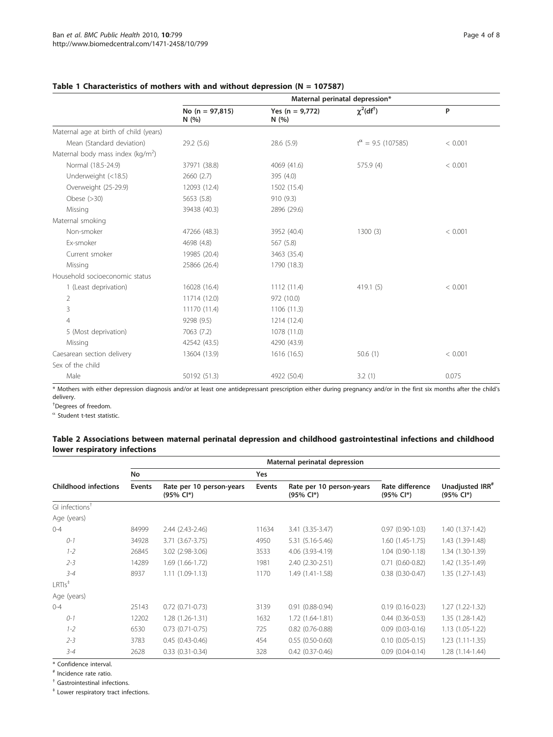|                                               | Maternal perinatal depression* |                             |                             |         |  |  |
|-----------------------------------------------|--------------------------------|-----------------------------|-----------------------------|---------|--|--|
|                                               | No $(n = 97,815)$<br>N(%)      | Yes ( $n = 9,772$ )<br>N(%) | $\chi^2(df^{\dagger})$      | P       |  |  |
| Maternal age at birth of child (years)        |                                |                             |                             |         |  |  |
| Mean (Standard deviation)                     | 29.2(5.6)                      | 28.6(5.9)                   | $t^{\alpha}$ = 9.5 (107585) | < 0.001 |  |  |
| Maternal body mass index (kg/m <sup>2</sup> ) |                                |                             |                             |         |  |  |
| Normal (18.5-24.9)                            | 37971 (38.8)                   | 4069 (41.6)                 | 575.9 (4)                   | < 0.001 |  |  |
| Underweight (<18.5)                           | 2660 (2.7)                     | 395 (4.0)                   |                             |         |  |  |
| Overweight (25-29.9)                          | 12093 (12.4)                   | 1502 (15.4)                 |                             |         |  |  |
| Obese $(>30)$                                 | 5653 (5.8)                     | 910 (9.3)                   |                             |         |  |  |
| Missing                                       | 39438 (40.3)                   | 2896 (29.6)                 |                             |         |  |  |
| Maternal smoking                              |                                |                             |                             |         |  |  |
| Non-smoker                                    | 47266 (48.3)                   | 3952 (40.4)                 | 1300(3)                     | < 0.001 |  |  |
| Ex-smoker                                     | 4698 (4.8)                     | 567 (5.8)                   |                             |         |  |  |
| Current smoker                                | 19985 (20.4)                   | 3463 (35.4)                 |                             |         |  |  |
| Missing                                       | 25866 (26.4)                   | 1790 (18.3)                 |                             |         |  |  |
| Household socioeconomic status                |                                |                             |                             |         |  |  |
| 1 (Least deprivation)                         | 16028 (16.4)                   | 1112 (11.4)                 | 419.1(5)                    | < 0.001 |  |  |
| $\overline{2}$                                | 11714 (12.0)                   | 972 (10.0)                  |                             |         |  |  |
| 3                                             | 11170 (11.4)                   | 1106 (11.3)                 |                             |         |  |  |
| $\overline{4}$                                | 9298 (9.5)                     | 1214 (12.4)                 |                             |         |  |  |
| 5 (Most deprivation)                          | 7063 (7.2)                     | 1078 (11.0)                 |                             |         |  |  |
| Missing                                       | 42542 (43.5)                   | 4290 (43.9)                 |                             |         |  |  |
| Caesarean section delivery                    | 13604 (13.9)                   | 1616 (16.5)                 | 50.6(1)                     | < 0.001 |  |  |
| Sex of the child                              |                                |                             |                             |         |  |  |
| Male                                          | 50192 (51.3)                   | 4922 (50.4)                 | 3.2(1)                      | 0.075   |  |  |

## <span id="page-3-0"></span>Table 1 Characteristics of mothers with and without depression  $(N = 107587)$

\* Mothers with either depression diagnosis and/or at least one antidepressant prescription either during pregnancy and/or in the first six months after the child's delivery.

† Degrees of freedom.

 $\alpha$  Student t-test statistic.

## Table 2 Associations between maternal perinatal depression and childhood gastrointestinal infections and childhood lower respiratory infections

|                             | Maternal perinatal depression |                                       |        |                                       |                              |                                                     |  |  |
|-----------------------------|-------------------------------|---------------------------------------|--------|---------------------------------------|------------------------------|-----------------------------------------------------|--|--|
| <b>Childhood infections</b> | No                            |                                       | Yes    |                                       |                              |                                                     |  |  |
|                             | Events                        | Rate per 10 person-years<br>(95% Cl*) | Events | Rate per 10 person-years<br>(95% Cl*) | Rate difference<br>(95% Cl*) | Unadjusted IRR <sup>#</sup><br>$(95\% \text{ Cl*})$ |  |  |
| GI infections <sup>†</sup>  |                               |                                       |        |                                       |                              |                                                     |  |  |
| Age (years)                 |                               |                                       |        |                                       |                              |                                                     |  |  |
| $0 - 4$                     | 84999                         | 2.44 (2.43-2.46)                      | 11634  | 3.41 (3.35-3.47)                      | $0.97(0.90-1.03)$            | 1.40 (1.37-1.42)                                    |  |  |
| $O-1$                       | 34928                         | 3.71 (3.67-3.75)                      | 4950   | 5.31 (5.16-5.46)                      | $1.60(1.45-1.75)$            | 1.43 (1.39-1.48)                                    |  |  |
| $1 - 2$                     | 26845                         | 3.02 (2.98-3.06)                      | 3533   | 4.06 (3.93-4.19)                      | $1.04(0.90-1.18)$            | 1.34 (1.30-1.39)                                    |  |  |
| $2 - 3$                     | 14289                         | $1.69(1.66-1.72)$                     | 1981   | 2.40 (2.30-2.51)                      | $0.71(0.60 - 0.82)$          | 1.42 (1.35-1.49)                                    |  |  |
| $3 - 4$                     | 8937                          | $1.11(1.09-1.13)$                     | 1170   | 1.49 (1.41-1.58)                      | $0.38(0.30-0.47)$            | $1.35(1.27-1.43)$                                   |  |  |
| LRTls <sup>‡</sup>          |                               |                                       |        |                                       |                              |                                                     |  |  |
| Age (years)                 |                               |                                       |        |                                       |                              |                                                     |  |  |
| $0 - 4$                     | 25143                         | $0.72$ $(0.71 - 0.73)$                | 3139   | $0.91(0.88-0.94)$                     | $0.19(0.16 - 0.23)$          | $1.27(1.22 - 1.32)$                                 |  |  |
| $O-1$                       | 12202                         | 1.28 (1.26-1.31)                      | 1632   | 1.72 (1.64-1.81)                      | $0.44(0.36-0.53)$            | $1.35(1.28-1.42)$                                   |  |  |
| $1 - 2$                     | 6530                          | $0.73$ $(0.71 - 0.75)$                | 725    | $0.82$ (0.76-0.88)                    | $0.09$ $(0.03 - 0.16)$       | $1.13(1.05-1.22)$                                   |  |  |
| $2 - 3$                     | 3783                          | $0.45(0.43-0.46)$                     | 454    | $0.55(0.50-0.60)$                     | $0.10(0.05 - 0.15)$          | $1.23(1.11-1.35)$                                   |  |  |
| $3 - 4$                     | 2628                          | $0.33$ $(0.31 - 0.34)$                | 328    | $0.42$ $(0.37 - 0.46)$                | $0.09(0.04 - 0.14)$          | $1.28(1.14-1.44)$                                   |  |  |

\* Confidence interval.

# Incidence rate ratio.

† Gastrointestinal infections.

‡ Lower respiratory tract infections.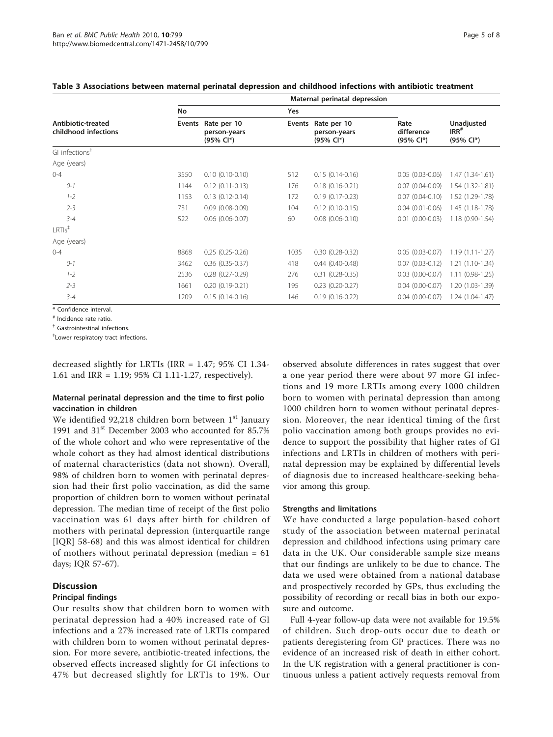|                                            | No     |                                          | Yes  |                                                 |                                 |                                                      |
|--------------------------------------------|--------|------------------------------------------|------|-------------------------------------------------|---------------------------------|------------------------------------------------------|
| Antibiotic-treated<br>childhood infections | Events | Rate per 10<br>person-years<br>(95% Cl*) |      | Events Rate per 10<br>person-years<br>(95% Cl*) | Rate<br>difference<br>(95% Cl*) | <b>Unadjusted</b><br>$IRR$ <sup>#</sup><br>(95% Cl*) |
| GI infections <sup>†</sup>                 |        |                                          |      |                                                 |                                 |                                                      |
| Age (years)                                |        |                                          |      |                                                 |                                 |                                                      |
| $0 - 4$                                    | 3550   | $0.10(0.10-0.10)$                        | 512  | $0.15(0.14-0.16)$                               | $0.05(0.03 - 0.06)$             | $1.47(1.34-1.61)$                                    |
| $O-1$                                      | 1144   | $0.12(0.11-0.13)$                        | 176  | $0.18(0.16 - 0.21)$                             | $0.07(0.04 - 0.09)$             | $1.54(1.32-1.81)$                                    |
| $1 - 2$                                    | 1153   | $0.13(0.12-0.14)$                        | 172  | $0.19(0.17 - 0.23)$                             | $0.07(0.04 - 0.10)$             | 1.52 (1.29-1.78)                                     |
| $2 - 3$                                    | 731    | $0.09$ $(0.08 - 0.09)$                   | 104  | $0.12$ (0.10-0.15)                              | $0.04$ $(0.01 - 0.06)$          | 1.45 (1.18-1.78)                                     |
| $3 - 4$                                    | 522    | $0.06(0.06 - 0.07)$                      | 60   | $0.08$ $(0.06 - 0.10)$                          | $0.01$ $(0.00 - 0.03)$          | 1.18 (0.90-1.54)                                     |
| LRTls <sup>‡</sup>                         |        |                                          |      |                                                 |                                 |                                                      |
| Age (years)                                |        |                                          |      |                                                 |                                 |                                                      |
| $0 - 4$                                    | 8868   | $0.25(0.25-0.26)$                        | 1035 | $0.30(0.28-0.32)$                               | $0.05(0.03 - 0.07)$             | $1.19(1.11-1.27)$                                    |
| $O-1$                                      | 3462   | $0.36$ $(0.35-0.37)$                     | 418  | $0.44(0.40-0.48)$                               | $0.07$ $(0.03 - 0.12)$          | 1.21 (1.10-1.34)                                     |
| $1 - 2$                                    | 2536   | $0.28$ $(0.27 - 0.29)$                   | 276  | $0.31(0.28-0.35)$                               | $0.03$ $(0.00 - 0.07)$          | $1.11(0.98-1.25)$                                    |
| $2 - 3$                                    | 1661   | $0.20(0.19 - 0.21)$                      | 195  | $0.23$ $(0.20 - 0.27)$                          | $0.04$ $(0.00 - 0.07)$          | 1.20 (1.03-1.39)                                     |
| $3 - 4$                                    | 1209   | $0.15(0.14-0.16)$                        | 146  | $0.19(0.16 - 0.22)$                             | $0.04$ (0.00-0.07)              | $1.24(1.04-1.47)$                                    |
| * Confidence interval                      |        |                                          |      |                                                 |                                 |                                                      |

<span id="page-4-0"></span>

| Table 3 Associations between maternal perinatal depression and childhood infections with antibiotic treatment |  |  |  |
|---------------------------------------------------------------------------------------------------------------|--|--|--|
|---------------------------------------------------------------------------------------------------------------|--|--|--|

Confidence interval.

Incidence rate ratio.

† Gastrointestinal infections.

‡ Lower respiratory tract infections.

decreased slightly for LRTIs (IRR =  $1.47$ ; 95% CI 1.34-1.61 and IRR = 1.19; 95% CI 1.11-1.27, respectively).

## Maternal perinatal depression and the time to first polio vaccination in children

We identified 92,218 children born between 1<sup>st</sup> January 1991 and 31<sup>st</sup> December 2003 who accounted for 85.7% of the whole cohort and who were representative of the whole cohort as they had almost identical distributions of maternal characteristics (data not shown). Overall, 98% of children born to women with perinatal depression had their first polio vaccination, as did the same proportion of children born to women without perinatal depression. The median time of receipt of the first polio vaccination was 61 days after birth for children of mothers with perinatal depression (interquartile range [IQR] 58-68) and this was almost identical for children of mothers without perinatal depression (median = 61 days; IQR 57-67).

## **Discussion**

## Principal findings

Our results show that children born to women with perinatal depression had a 40% increased rate of GI infections and a 27% increased rate of LRTIs compared with children born to women without perinatal depression. For more severe, antibiotic-treated infections, the observed effects increased slightly for GI infections to 47% but decreased slightly for LRTIs to 19%. Our

observed absolute differences in rates suggest that over a one year period there were about 97 more GI infections and 19 more LRTIs among every 1000 children born to women with perinatal depression than among 1000 children born to women without perinatal depression. Moreover, the near identical timing of the first polio vaccination among both groups provides no evidence to support the possibility that higher rates of GI infections and LRTIs in children of mothers with perinatal depression may be explained by differential levels of diagnosis due to increased healthcare-seeking behavior among this group.

## Strengths and limitations

We have conducted a large population-based cohort study of the association between maternal perinatal depression and childhood infections using primary care data in the UK. Our considerable sample size means that our findings are unlikely to be due to chance. The data we used were obtained from a national database and prospectively recorded by GPs, thus excluding the possibility of recording or recall bias in both our exposure and outcome.

Full 4-year follow-up data were not available for 19.5% of children. Such drop-outs occur due to death or patients deregistering from GP practices. There was no evidence of an increased risk of death in either cohort. In the UK registration with a general practitioner is continuous unless a patient actively requests removal from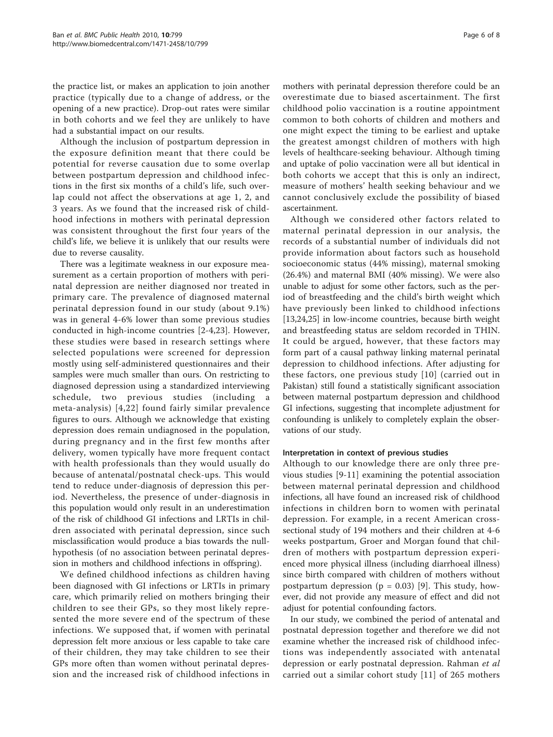the practice list, or makes an application to join another practice (typically due to a change of address, or the opening of a new practice). Drop-out rates were similar in both cohorts and we feel they are unlikely to have had a substantial impact on our results.

Although the inclusion of postpartum depression in the exposure definition meant that there could be potential for reverse causation due to some overlap between postpartum depression and childhood infections in the first six months of a child's life, such overlap could not affect the observations at age 1, 2, and 3 years. As we found that the increased risk of childhood infections in mothers with perinatal depression was consistent throughout the first four years of the child's life, we believe it is unlikely that our results were due to reverse causality.

There was a legitimate weakness in our exposure measurement as a certain proportion of mothers with perinatal depression are neither diagnosed nor treated in primary care. The prevalence of diagnosed maternal perinatal depression found in our study (about 9.1%) was in general 4-6% lower than some previous studies conducted in high-income countries [\[2](#page-6-0)-[4,23](#page-7-0)]. However, these studies were based in research settings where selected populations were screened for depression mostly using self-administered questionnaires and their samples were much smaller than ours. On restricting to diagnosed depression using a standardized interviewing schedule, two previous studies (including a meta-analysis) [[4,22](#page-7-0)] found fairly similar prevalence figures to ours. Although we acknowledge that existing depression does remain undiagnosed in the population, during pregnancy and in the first few months after delivery, women typically have more frequent contact with health professionals than they would usually do because of antenatal/postnatal check-ups. This would tend to reduce under-diagnosis of depression this period. Nevertheless, the presence of under-diagnosis in this population would only result in an underestimation of the risk of childhood GI infections and LRTIs in children associated with perinatal depression, since such misclassification would produce a bias towards the nullhypothesis (of no association between perinatal depression in mothers and childhood infections in offspring).

We defined childhood infections as children having been diagnosed with GI infections or LRTIs in primary care, which primarily relied on mothers bringing their children to see their GPs, so they most likely represented the more severe end of the spectrum of these infections. We supposed that, if women with perinatal depression felt more anxious or less capable to take care of their children, they may take children to see their GPs more often than women without perinatal depression and the increased risk of childhood infections in

mothers with perinatal depression therefore could be an overestimate due to biased ascertainment. The first childhood polio vaccination is a routine appointment common to both cohorts of children and mothers and one might expect the timing to be earliest and uptake the greatest amongst children of mothers with high levels of healthcare-seeking behaviour. Although timing and uptake of polio vaccination were all but identical in both cohorts we accept that this is only an indirect, measure of mothers' health seeking behaviour and we cannot conclusively exclude the possibility of biased ascertainment.

Although we considered other factors related to maternal perinatal depression in our analysis, the records of a substantial number of individuals did not provide information about factors such as household socioeconomic status (44% missing), maternal smoking (26.4%) and maternal BMI (40% missing). We were also unable to adjust for some other factors, such as the period of breastfeeding and the child's birth weight which have previously been linked to childhood infections [[13,24,25\]](#page-7-0) in low-income countries, because birth weight and breastfeeding status are seldom recorded in THIN. It could be argued, however, that these factors may form part of a causal pathway linking maternal perinatal depression to childhood infections. After adjusting for these factors, one previous study [[10\]](#page-7-0) (carried out in Pakistan) still found a statistically significant association between maternal postpartum depression and childhood GI infections, suggesting that incomplete adjustment for confounding is unlikely to completely explain the observations of our study.

#### Interpretation in context of previous studies

Although to our knowledge there are only three previous studies [[9-11\]](#page-7-0) examining the potential association between maternal perinatal depression and childhood infections, all have found an increased risk of childhood infections in children born to women with perinatal depression. For example, in a recent American crosssectional study of 194 mothers and their children at 4-6 weeks postpartum, Groer and Morgan found that children of mothers with postpartum depression experienced more physical illness (including diarrhoeal illness) since birth compared with children of mothers without postpartum depression ( $p = 0.03$ ) [\[9](#page-7-0)]. This study, however, did not provide any measure of effect and did not adjust for potential confounding factors.

In our study, we combined the period of antenatal and postnatal depression together and therefore we did not examine whether the increased risk of childhood infections was independently associated with antenatal depression or early postnatal depression. Rahman et al carried out a similar cohort study [\[11\]](#page-7-0) of 265 mothers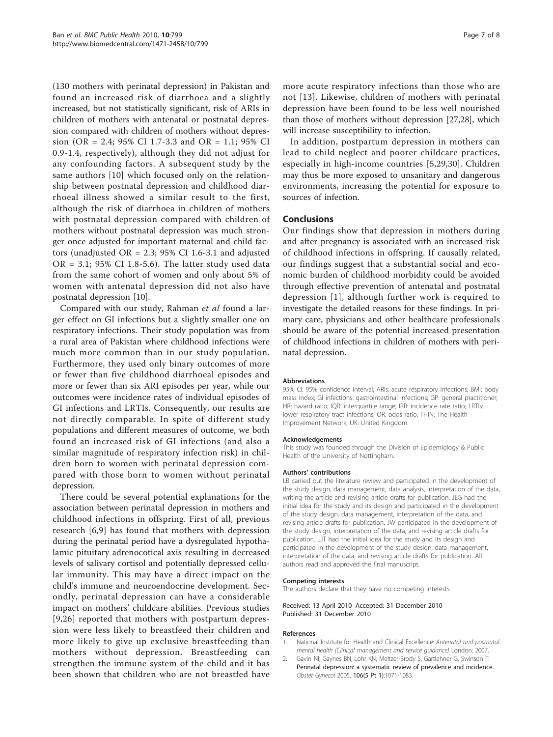<span id="page-6-0"></span>(130 mothers with perinatal depression) in Pakistan and found an increased risk of diarrhoea and a slightly increased, but not statistically significant, risk of ARIs in children of mothers with antenatal or postnatal depression compared with children of mothers without depression (OR = 2.4; 95% CI 1.7-3.3 and OR = 1.1; 95% CI 0.9-1.4, respectively), although they did not adjust for any confounding factors. A subsequent study by the same authors [\[10](#page-7-0)] which focused only on the relationship between postnatal depression and childhood diarrhoeal illness showed a similar result to the first, although the risk of diarrhoea in children of mothers with postnatal depression compared with children of mothers without postnatal depression was much stronger once adjusted for important maternal and child factors (unadjusted  $OR = 2.3$ ; 95% CI 1.6-3.1 and adjusted OR = 3.1;  $95\%$  CI 1.8-5.6). The latter study used data from the same cohort of women and only about 5% of women with antenatal depression did not also have postnatal depression [[10](#page-7-0)].

Compared with our study, Rahman et al found a larger effect on GI infections but a slightly smaller one on respiratory infections. Their study population was from a rural area of Pakistan where childhood infections were much more common than in our study population. Furthermore, they used only binary outcomes of more or fewer than five childhood diarrhoeal episodes and more or fewer than six ARI episodes per year, while our outcomes were incidence rates of individual episodes of GI infections and LRTIs. Consequently, our results are not directly comparable. In spite of different study populations and different measures of outcome, we both found an increased risk of GI infections (and also a similar magnitude of respiratory infection risk) in children born to women with perinatal depression compared with those born to women without perinatal depression.

There could be several potential explanations for the association between perinatal depression in mothers and childhood infections in offspring. First of all, previous research [[6](#page-7-0),[9\]](#page-7-0) has found that mothers with depression during the perinatal period have a dysregulated hypothalamic pituitary adrenocotical axis resulting in decreased levels of salivary cortisol and potentially depressed cellular immunity. This may have a direct impact on the child's immune and neuroendocrine development. Secondly, perinatal depression can have a considerable impact on mothers' childcare abilities. Previous studies [[9](#page-7-0),[26\]](#page-7-0) reported that mothers with postpartum depression were less likely to breastfeed their children and more likely to give up exclusive breastfeeding than mothers without depression. Breastfeeding can strengthen the immune system of the child and it has been shown that children who are not breastfed have more acute respiratory infections than those who are not [[13](#page-7-0)]. Likewise, children of mothers with perinatal depression have been found to be less well nourished than those of mothers without depression [[27,28\]](#page-7-0), which will increase susceptibility to infection.

In addition, postpartum depression in mothers can lead to child neglect and poorer childcare practices, especially in high-income countries [[5,29](#page-7-0),[30\]](#page-7-0). Children may thus be more exposed to unsanitary and dangerous environments, increasing the potential for exposure to sources of infection.

## Conclusions

Our findings show that depression in mothers during and after pregnancy is associated with an increased risk of childhood infections in offspring. If causally related, our findings suggest that a substantial social and economic burden of childhood morbidity could be avoided through effective prevention of antenatal and postnatal depression [1], although further work is required to investigate the detailed reasons for these findings. In primary care, physicians and other healthcare professionals should be aware of the potential increased presentation of childhood infections in children of mothers with perinatal depression.

#### Abbreviations

95% CI: 95% confidence interval; ARIs: acute respiratory infections; BMI: body mass index; GI infections: gastrointestinal infections; GP: general practitioner; HR: hazard ratio; IQR: interquartile range; IRR: incidence rate ratio; LRTIs: lower respiratory tract infections; OR: odds ratio; THIN: The Health Improvement Network; UK: United Kingdom.

#### Acknowledgements

This study was founded through the Division of Epidemiology & Public Health of the University of Nottingham.

#### Authors' contributions

LB carried out the literature review and participated in the development of the study design, data management, data analysis, interpretation of the data, writing the article and revising article drafts for publication. JEG had the initial idea for the study and its design and participated in the development of the study design, data management, interpretation of the data, and revising article drafts for publication. JW participated in the development of the study design, interpretation of the data, and revising article drafts for publication. LJT had the initial idea for the study and its design and participated in the development of the study design, data management, interpretation of the data, and revising article drafts for publication. All authors read and approved the final manuscript.

#### Competing interests

The authors declare that they have no competing interests.

#### Received: 13 April 2010 Accepted: 31 December 2010 Published: 31 December 2010

#### References

- 1. National Institute for Health and Clinical Excellence: Antenatal and postnatal mental health (Clinical management and service guidance) London; 2007.
- 2. Gavin NI, Gaynes BN, Lohr KN, Meltzer-Brody S, Gartlehner G, Swinson T: [Perinatal depression: a systematic review of prevalence and incidence.](http://www.ncbi.nlm.nih.gov/pubmed/16260528?dopt=Abstract) Obstet Gynecol 2005, 106(5 Pt 1):1071-1083.